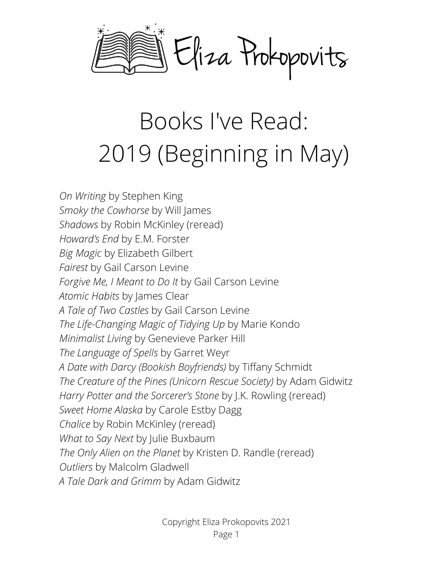

## Books I've Read: 2019 (Beginning in May)

*On Writing* by Stephen King *Smoky the Cowhorse* by Will James *Shadows* by Robin McKinley (reread) *Howard's End* by E.M. Forster *Big Magic* by Elizabeth Gilbert *Fairest* by Gail Carson Levine *Forgive Me, I Meant to Do It* by Gail Carson Levine *Atomic Habits* by James Clear *A Tale of Two Castles* by Gail Carson Levine *The Life-Changing Magic of Tidying Up* by Marie Kondo *Minimalist Living* by Genevieve Parker Hill *The Language of Spells* by Garret Weyr *A Date with Darcy (Bookish Boyfriends)* by Tiffany Schmidt *The Creature of the Pines (Unicorn Rescue Society)* by Adam Gidwitz *Harry Potter and the Sorcerer's Stone* by J.K. Rowling (reread) *Sweet Home Alaska* by Carole Estby Dagg *Chalice* by Robin McKinley (reread) *What to Say Next* by Julie Buxbaum *The Only Alien on the Planet* by Kristen D. Randle (reread) *Outliers* by Malcolm Gladwell *A Tale Dark and Grimm* by Adam Gidwitz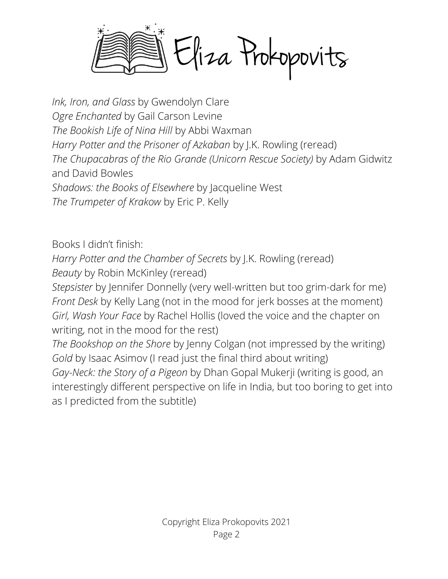Eliza Prokopovits

*Ink, Iron, and Glass* by Gwendolyn Clare *Ogre Enchanted* by Gail Carson Levine *The Bookish Life of Nina Hill* by Abbi Waxman *Harry Potter and the Prisoner of Azkaban* by J.K. Rowling (reread) *The Chupacabras of the Rio Grande (Unicorn Rescue Society)* by Adam Gidwitz and David Bowles *Shadows: the Books of Elsewhere* by Jacqueline West *The Trumpeter of Krakow* by Eric P. Kelly

Books I didn't finish:

*Harry Potter and the Chamber of Secrets* by J.K. Rowling (reread) *Beauty* by Robin McKinley (reread)

*Stepsister* by Jennifer Donnelly (very well-written but too grim-dark for me) *Front Desk* by Kelly Lang (not in the mood for jerk bosses at the moment) *Girl, Wash Your Face* by Rachel Hollis (loved the voice and the chapter on writing, not in the mood for the rest)

*The Bookshop on the Shore* by Jenny Colgan (not impressed by the writing) *Gold* by Isaac Asimov (I read just the final third about writing) *Gay-Neck: the Story of a Pigeon* by Dhan Gopal Mukerji (writing is good, an interestingly different perspective on life in India, but too boring to get into as I predicted from the subtitle)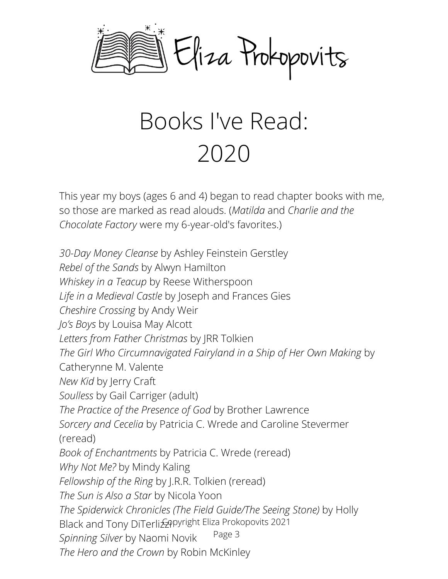

## Books I've Read: 2020

This year my boys (ages 6 and 4) began to read chapter books with me, so those are marked as read alouds. (*Matilda* and *Charlie and the Chocolate Factory* were my 6-year-old's favorites.)

*30-Day Money Cleanse* by Ashley Feinstein Gerstley *Rebel of the Sands* by Alwyn Hamilton *Whiskey in a Teacup* by Reese Witherspoon *Life in a Medieval Castle* by Joseph and Frances Gies *Cheshire Crossing* by Andy Weir *Jo's Boys* by Louisa May Alcott *Letters from Father Christmas* by JRR Tolkien *The Girl Who Circumnavigated Fairyland in a Ship of Her Own Making* by Catherynne M. Valente *New Kid* by Jerry Craft *Soulless* by Gail Carriger (adult) *The Practice of the Presence of God* by Brother Lawrence *Sorcery and Cecelia* by Patricia C. Wrede and Caroline Stevermer (reread) *Book of Enchantments* by Patricia C. Wrede (reread) *Why Not Me?* by Mindy Kaling *Fellowship of the Ring* by J.R.R. Tolkien (reread) *The Sun is Also a Star* by Nicola Yoon *The Spiderwick Chronicles (The Field Guide/The Seeing Stone)* by Holly Black and Tony DiTerliz *A*pyright Eliza Prokopovits 2021 *Spinning Silver* by Naomi Novik *The Hero and the Crown* by Robin McKinley Page 3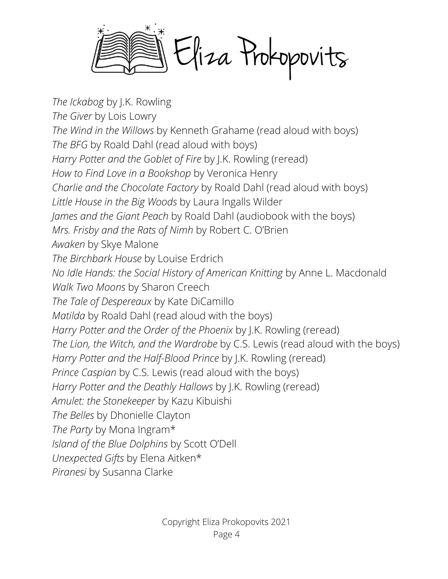Eliza Prokopovits

*The Ickabog* by J.K. Rowling *The Giver* by Lois Lowry *The Wind in the Willows* by Kenneth Grahame (read aloud with boys) *The BFG* by Roald Dahl (read aloud with boys) *Harry Potter and the Goblet of Fire* by J.K. Rowling (reread) *How to Find Love in a Bookshop* by Veronica Henry *Charlie and the Chocolate Factory* by Roald Dahl (read aloud with boys) *Little House in the Big Woods* by Laura Ingalls Wilder *James and the Giant Peach* by Roald Dahl (audiobook with the boys) *Mrs. Frisby and the Rats of Nimh* by Robert C. O'Brien *Awaken* by Skye Malone *The Birchbark House* by Louise Erdrich *No Idle Hands: the Social History of American Knitting* by Anne L. Macdonald *Walk Two Moons* by Sharon Creech *The Tale of Despereaux* by Kate DiCamillo *Matilda* by Roald Dahl (read aloud with the boys) *Harry Potter and the Order of the Phoenix* by J.K. Rowling (reread) *The Lion, the Witch, and the Wardrobe* by C.S. Lewis (read aloud with the boys) *Harry Potter and the Half-Blood Prince* by J.K. Rowling (reread) *Prince Caspian* by C.S. Lewis (read aloud with the boys) *Harry Potter and the Deathly Hallows* by J.K. Rowling (reread) *Amulet: the Stonekeeper* by Kazu Kibuishi *The Belles* by Dhonielle Clayton *The Party* by Mona Ingram\* *Island of the Blue Dolphins* by Scott O'Dell *Unexpected Gifts* by Elena Aitken\* *Piranesi* by Susanna Clarke